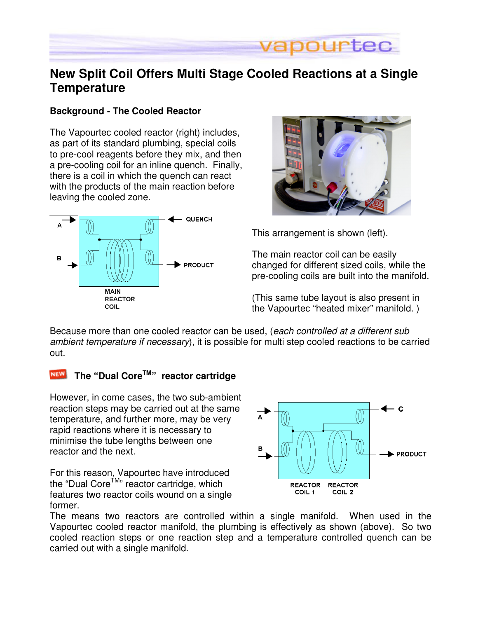

## **New Split Coil Offers Multi Stage Cooled Reactions at a Single Temperature**

#### **Background - The Cooled Reactor**

The Vapourtec cooled reactor (right) includes, as part of its standard plumbing, special coils to pre-cool reagents before they mix, and then a pre-cooling coil for an inline quench. Finally, there is a coil in which the quench can react with the products of the main reaction before leaving the cooled zone.





This arrangement is shown (left).

The main reactor coil can be easily changed for different sized coils, while the pre-cooling coils are built into the manifold.

(This same tube layout is also present in the Vapourtec "heated mixer" manifold. )

Because more than one cooled reactor can be used, (each controlled at a different sub ambient temperature if necessary), it is possible for multi step cooled reactions to be carried out.

### **The "Dual CoreTM" reactor cartridge**

However, in come cases, the two sub-ambient reaction steps may be carried out at the same temperature, and further more, may be very rapid reactions where it is necessary to minimise the tube lengths between one reactor and the next.

For this reason, Vapourtec have introduced the "Dual Core<sup>TM</sup>" reactor cartridge, which features two reactor coils wound on a single former.



The means two reactors are controlled within a single manifold. When used in the Vapourtec cooled reactor manifold, the plumbing is effectively as shown (above). So two cooled reaction steps or one reaction step and a temperature controlled quench can be carried out with a single manifold.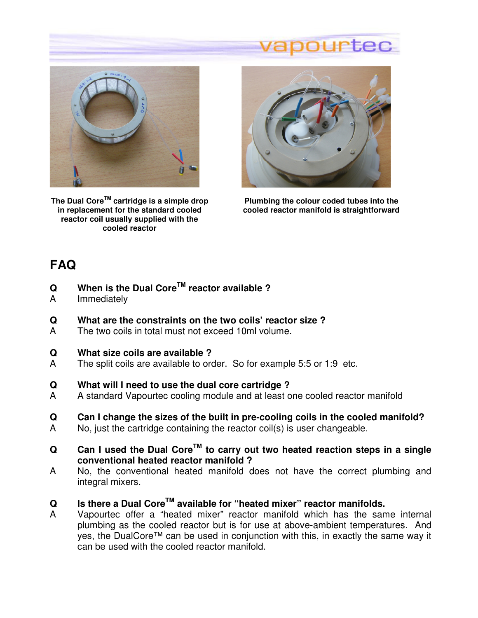# pourtec



**The Dual CoreTM cartridge is a simple drop in replacement for the standard cooled reactor coil usually supplied with the cooled reactor** 



**Plumbing the colour coded tubes into the cooled reactor manifold is straightforward** 

## **FAQ**

- **Q When is the Dual CoreTM reactor available ?**
- A Immediately
- **Q What are the constraints on the two coils' reactor size ?**
- A The two coils in total must not exceed 10ml volume.
- **Q What size coils are available ?**
- A The split coils are available to order. So for example 5:5 or 1:9 etc.
- **Q What will I need to use the dual core cartridge ?**
- A A standard Vapourtec cooling module and at least one cooled reactor manifold
- **Q Can I change the sizes of the built in pre-cooling coils in the cooled manifold?**
- A No, just the cartridge containing the reactor coil(s) is user changeable.
- **Q Can I used the Dual CoreTM to carry out two heated reaction steps in a single conventional heated reactor manifold ?**
- A No, the conventional heated manifold does not have the correct plumbing and integral mixers.
- **Q Is there a Dual CoreTM available for "heated mixer" reactor manifolds.**
- A Vapourtec offer a "heated mixer" reactor manifold which has the same internal plumbing as the cooled reactor but is for use at above-ambient temperatures. And yes, the DualCore™ can be used in conjunction with this, in exactly the same way it can be used with the cooled reactor manifold.